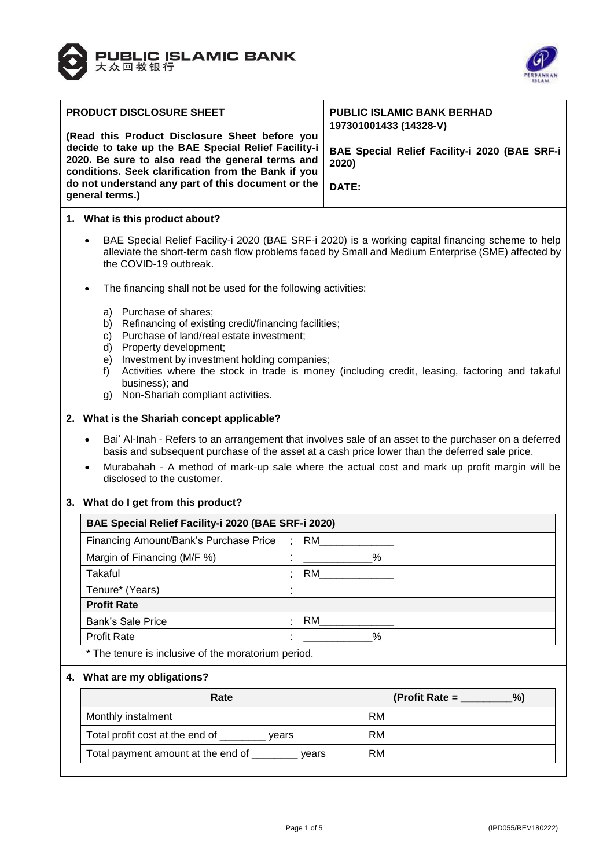



| PRODUCT DISCLOSURE SHEET                                              |                                                                                                                                                                                                                                                                                                                                       | <b>PUBLIC ISLAMIC BANK BERHAD</b>                                                              |  |
|-----------------------------------------------------------------------|---------------------------------------------------------------------------------------------------------------------------------------------------------------------------------------------------------------------------------------------------------------------------------------------------------------------------------------|------------------------------------------------------------------------------------------------|--|
|                                                                       | (Read this Product Disclosure Sheet before you                                                                                                                                                                                                                                                                                        | 197301001433 (14328-V)                                                                         |  |
|                                                                       | decide to take up the BAE Special Relief Facility-i<br>2020. Be sure to also read the general terms and<br>conditions. Seek clarification from the Bank if you                                                                                                                                                                        | BAE Special Relief Facility-i 2020 (BAE SRF-i<br>2020)                                         |  |
| do not understand any part of this document or the<br>general terms.) |                                                                                                                                                                                                                                                                                                                                       | DATE:                                                                                          |  |
|                                                                       | 1. What is this product about?                                                                                                                                                                                                                                                                                                        |                                                                                                |  |
|                                                                       | BAE Special Relief Facility-i 2020 (BAE SRF-i 2020) is a working capital financing scheme to help<br>alleviate the short-term cash flow problems faced by Small and Medium Enterprise (SME) affected by<br>the COVID-19 outbreak.                                                                                                     |                                                                                                |  |
|                                                                       | The financing shall not be used for the following activities:                                                                                                                                                                                                                                                                         |                                                                                                |  |
|                                                                       | a) Purchase of shares;<br>Refinancing of existing credit/financing facilities;<br>b)<br>Purchase of land/real estate investment;<br>C)<br>Property development;<br>d)<br>Investment by investment holding companies;<br>e)<br>f)<br>business); and<br>Non-Shariah compliant activities.<br>g)                                         | Activities where the stock in trade is money (including credit, leasing, factoring and takaful |  |
|                                                                       | 2. What is the Shariah concept applicable?                                                                                                                                                                                                                                                                                            |                                                                                                |  |
|                                                                       | Bai' Al-Inah - Refers to an arrangement that involves sale of an asset to the purchaser on a deferred<br>basis and subsequent purchase of the asset at a cash price lower than the deferred sale price.<br>Murabahah - A method of mark-up sale where the actual cost and mark up profit margin will be<br>disclosed to the customer. |                                                                                                |  |
|                                                                       | 3. What do I get from this product?                                                                                                                                                                                                                                                                                                   |                                                                                                |  |
|                                                                       | BAE Special Relief Facility-i 2020 (BAE SRF-i 2020)                                                                                                                                                                                                                                                                                   |                                                                                                |  |
|                                                                       | RM<br>Financing Amount/Bank's Purchase Price                                                                                                                                                                                                                                                                                          |                                                                                                |  |
|                                                                       | Margin of Financing (M/F %)                                                                                                                                                                                                                                                                                                           | $\%$                                                                                           |  |
|                                                                       | <b>RM</b><br>Takaful                                                                                                                                                                                                                                                                                                                  |                                                                                                |  |
|                                                                       | Tenure* (Years)                                                                                                                                                                                                                                                                                                                       |                                                                                                |  |
|                                                                       | <b>Profit Rate</b>                                                                                                                                                                                                                                                                                                                    |                                                                                                |  |
|                                                                       | <b>RM</b><br>Bank's Sale Price                                                                                                                                                                                                                                                                                                        |                                                                                                |  |
|                                                                       | <b>Profit Rate</b>                                                                                                                                                                                                                                                                                                                    | %                                                                                              |  |
|                                                                       | * The tenure is inclusive of the moratorium period.                                                                                                                                                                                                                                                                                   |                                                                                                |  |
|                                                                       | 4. What are my obligations?                                                                                                                                                                                                                                                                                                           |                                                                                                |  |
|                                                                       | Rate                                                                                                                                                                                                                                                                                                                                  | %<br>(Profit Rate = $\frac{1}{2}$                                                              |  |
|                                                                       | Monthly instalment                                                                                                                                                                                                                                                                                                                    | <b>RM</b>                                                                                      |  |
|                                                                       | Total profit cost at the end of ________ years                                                                                                                                                                                                                                                                                        | <b>RM</b>                                                                                      |  |
|                                                                       | Total payment amount at the end of ________ years                                                                                                                                                                                                                                                                                     | <b>RM</b>                                                                                      |  |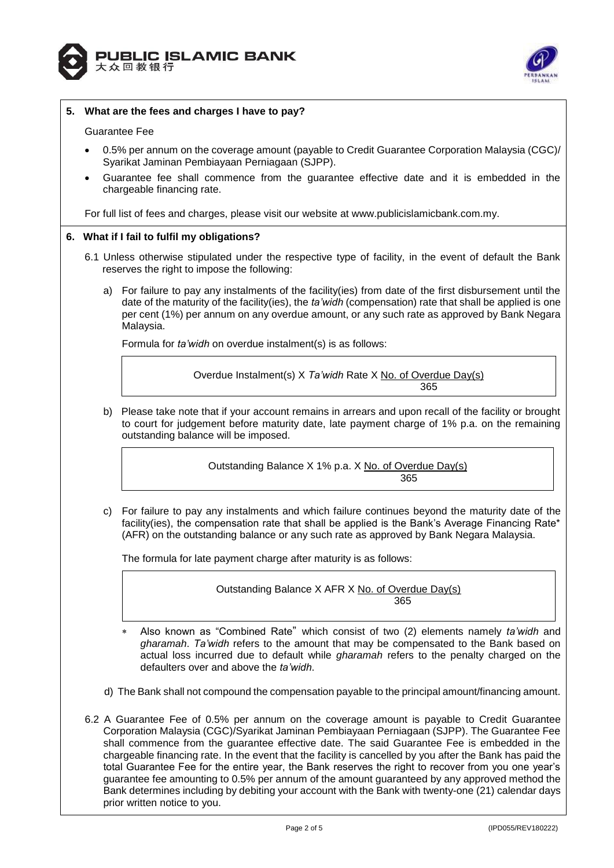



## **5. What are the fees and charges I have to pay?**

#### Guarantee Fee

- 0.5% per annum on the coverage amount (payable to Credit Guarantee Corporation Malaysia (CGC)/ Syarikat Jaminan Pembiayaan Perniagaan (SJPP).
- Guarantee fee shall commence from the guarantee effective date and it is embedded in the chargeable financing rate.

For full list of fees and charges, please visit our website at [www.publicislamicbank.com.my.](http://www.publicislamicbank.com.my/)

## **6. What if I fail to fulfil my obligations?**

- 6.1 Unless otherwise stipulated under the respective type of facility, in the event of default the Bank reserves the right to impose the following:
	- a) For failure to pay any instalments of the facility(ies) from date of the first disbursement until the date of the maturity of the facility(ies), the *ta'widh* (compensation) rate that shall be applied is one per cent (1%) per annum on any overdue amount, or any such rate as approved by Bank Negara Malaysia.

Formula for *ta'widh* on overdue instalment(s) is as follows:

Overdue Instalment(s) X *Ta'widh* Rate X No. of Overdue Day(s) 365

b) Please take note that if your account remains in arrears and upon recall of the facility or brought to court for judgement before maturity date, late payment charge of 1% p.a. on the remaining outstanding balance will be imposed.

Outstanding Balance X 1% p.a. X No. of Overdue Day(s) 365

c) For failure to pay any instalments and which failure continues beyond the maturity date of the facility(ies), the compensation rate that shall be applied is the Bank's Average Financing Rate\* (AFR) on the outstanding balance or any such rate as approved by Bank Negara Malaysia.

The formula for late payment charge after maturity is as follows:

Outstanding Balance X AFR X No. of Overdue Day(s) <u>365 - John Stein, Amerikaansk politiker (</u>

- Also known as "Combined Rate" which consist of two (2) elements namely *ta'widh* and *gharamah*. *Ta'widh* refers to the amount that may be compensated to the Bank based on actual loss incurred due to default while *gharamah* refers to the penalty charged on the defaulters over and above the *ta'widh*.
- d) The Bank shall not compound the compensation payable to the principal amount/financing amount.
- 6.2 A Guarantee Fee of 0.5% per annum on the coverage amount is payable to Credit Guarantee Corporation Malaysia (CGC)/Syarikat Jaminan Pembiayaan Perniagaan (SJPP). The Guarantee Fee shall commence from the guarantee effective date. The said Guarantee Fee is embedded in the chargeable financing rate. In the event that the facility is cancelled by you after the Bank has paid the total Guarantee Fee for the entire year, the Bank reserves the right to recover from you one year's guarantee fee amounting to 0.5% per annum of the amount guaranteed by any approved method the Bank determines including by debiting your account with the Bank with twenty-one (21) calendar days prior written notice to you.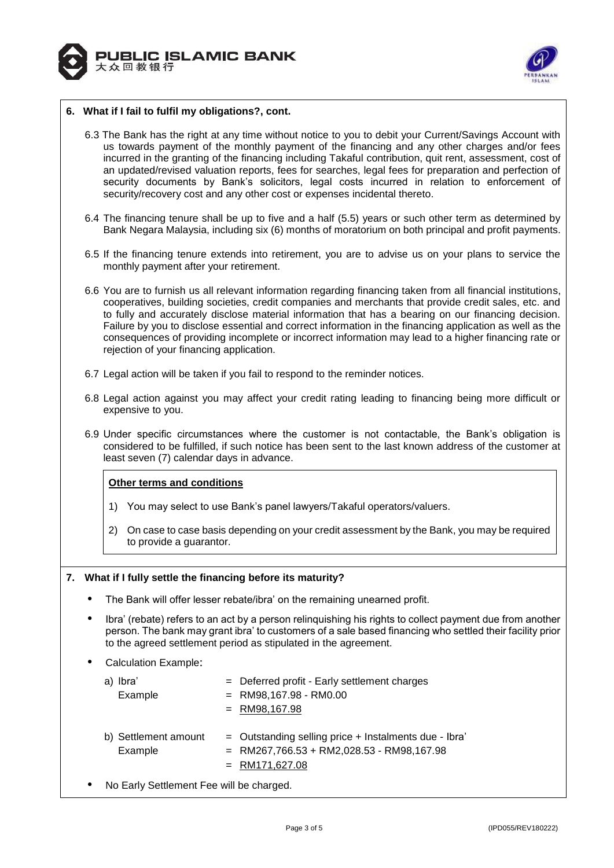



## **6. What if I fail to fulfil my obligations?, cont.**

- 6.3 The Bank has the right at any time without notice to you to debit your Current/Savings Account with us towards payment of the monthly payment of the financing and any other charges and/or fees incurred in the granting of the financing including Takaful contribution, quit rent, assessment, cost of an updated/revised valuation reports, fees for searches, legal fees for preparation and perfection of security documents by Bank's solicitors, legal costs incurred in relation to enforcement of security/recovery cost and any other cost or expenses incidental thereto.
- 6.4 The financing tenure shall be up to five and a half (5.5) years or such other term as determined by Bank Negara Malaysia, including six (6) months of moratorium on both principal and profit payments.
- 6.5 If the financing tenure extends into retirement, you are to advise us on your plans to service the monthly payment after your retirement.
- 6.6 You are to furnish us all relevant information regarding financing taken from all financial institutions, cooperatives, building societies, credit companies and merchants that provide credit sales, etc. and to fully and accurately disclose material information that has a bearing on our financing decision. Failure by you to disclose essential and correct information in the financing application as well as the consequences of providing incomplete or incorrect information may lead to a higher financing rate or rejection of your financing application.
- 6.7 Legal action will be taken if you fail to respond to the reminder notices.
- 6.8 Legal action against you may affect your credit rating leading to financing being more difficult or expensive to you.
- 6.9 Under specific circumstances where the customer is not contactable, the Bank's obligation is considered to be fulfilled, if such notice has been sent to the last known address of the customer at least seven (7) calendar days in advance.

# **Other terms and conditions**

- 1) You may select to use Bank's panel lawyers/Takaful operators/valuers.
- 2) On case to case basis depending on your credit assessment by the Bank, you may be required to provide a guarantor.

#### **7. What if I fully settle the financing before its maturity?**

- The Bank will offer lesser rebate/ibra' on the remaining unearned profit.
- Ibra' (rebate) refers to an act by a person relinquishing his rights to collect payment due from another person. The bank may grant ibra' to customers of a sale based financing who settled their facility prior to the agreed settlement period as stipulated in the agreement.
- Calculation Example:

| lbra'                           | = Deferred profit - Early settlement charges                                                                            |
|---------------------------------|-------------------------------------------------------------------------------------------------------------------------|
| a)                              | $=$ RM98,167.98 - RM0.00                                                                                                |
| Example                         | $=$ RM98,167.98                                                                                                         |
| b) Settlement amount<br>Example | = Outstanding selling price + Instalments due - Ibra<br>$=$ RM267,766.53 + RM2,028.53 - RM98,167.98<br>$=$ RM171,627.08 |

No Early Settlement Fee will be charged.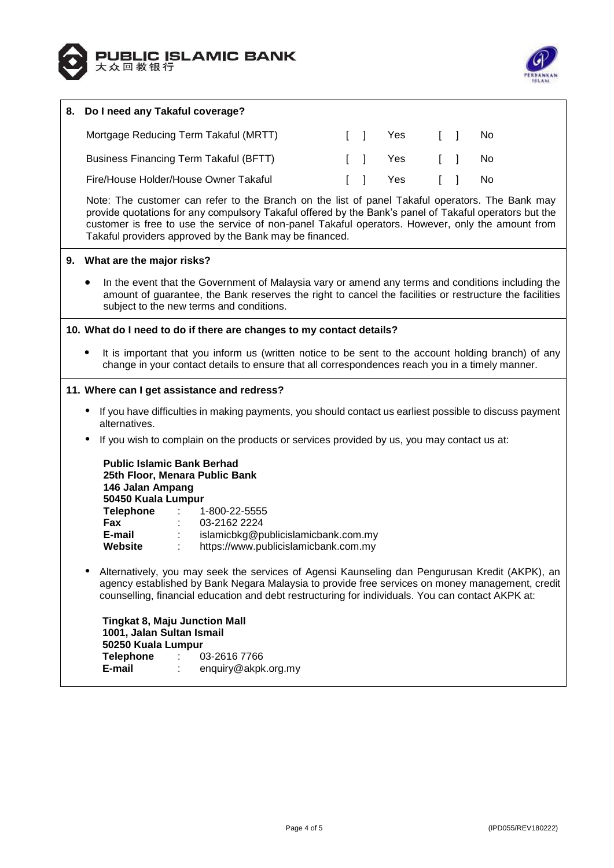



# **8. Do I need any Takaful coverage?** Mortgage Reducing Term Takaful (MRTT)  $\qquad \qquad$  [ ] Yes [ ] No Business Financing Term Takaful (BFTT)  $\qquad \qquad$  [ ] Yes [ ] No Fire/House Holder/House Owner Takaful **Information Club To Club Yes** [ 1 No Note: The customer can refer to the Branch on the list of panel Takaful operators. The Bank may provide quotations for any compulsory Takaful offered by the Bank's panel of Takaful operators but the customer is free to use the service of non-panel Takaful operators. However, only the amount from Takaful providers approved by the Bank may be financed. **9. What are the major risks?** In the event that the Government of Malaysia vary or amend any terms and conditions including the amount of guarantee, the Bank reserves the right to cancel the facilities or restructure the facilities subject to the new terms and conditions. **10. What do I need to do if there are changes to my contact details?** It is important that you inform us (written notice to be sent to the account holding branch) of any change in your contact details to ensure that all correspondences reach you in a timely manner. **11. Where can I get assistance and redress?** • If you have difficulties in making payments, you should contact us earliest possible to discuss payment alternatives. If you wish to complain on the products or services provided by us, you may contact us at: **Public Islamic Bank Berhad 25th Floor, Menara Public Bank 146 Jalan Ampang 50450 Kuala Lumpur Telephone** : 1-800-22-5555 **Fax** : 03-2162 2224 **E-mail** : islamicbkg@publicislamicbank.com.my **Website** : https://www.publicislamicbank.com.my Alternatively, you may seek the services of Agensi Kaunseling dan Pengurusan Kredit (AKPK), an agency established by Bank Negara Malaysia to provide free services on money management, credit counselling, financial education and debt restructuring for individuals. You can contact AKPK at: **Tingkat 8, Maju Junction Mall 1001, Jalan Sultan Ismail 50250 Kuala Lumpur Telephone** : 03-2616 7766 **E-mail** : enquiry@akpk.org.my